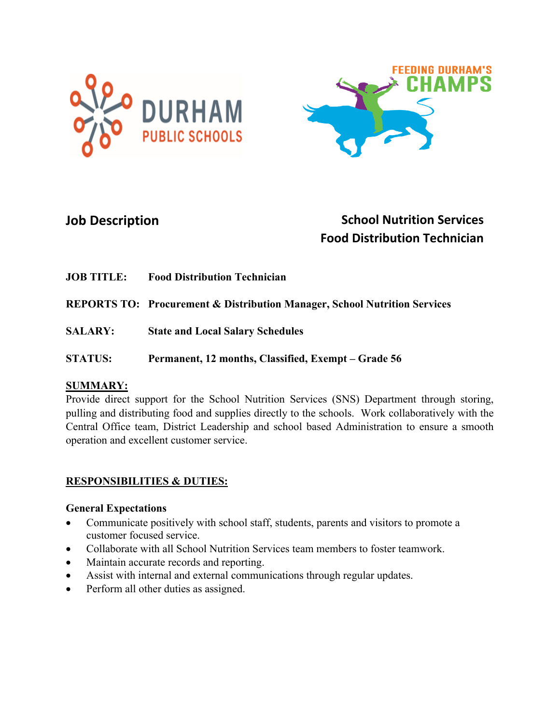



# **Job Description School Nutrition Services Food Distribution Technician**

- **JOB TITLE: Food Distribution Technician**
- **REPORTS TO: Procurement & Distribution Manager, School Nutrition Services**
- **SALARY: State and Local Salary Schedules**
- **STATUS: Permanent, 12 months, Classified, Exempt – Grade 56**

#### **SUMMARY:**

Provide direct support for the School Nutrition Services (SNS) Department through storing, pulling and distributing food and supplies directly to the schools. Work collaboratively with the Central Office team, District Leadership and school based Administration to ensure a smooth operation and excellent customer service.

#### **RESPONSIBILITIES & DUTIES:**

#### **General Expectations**

- Communicate positively with school staff, students, parents and visitors to promote a customer focused service.
- Collaborate with all School Nutrition Services team members to foster teamwork.
- Maintain accurate records and reporting.
- Assist with internal and external communications through regular updates.
- Perform all other duties as assigned.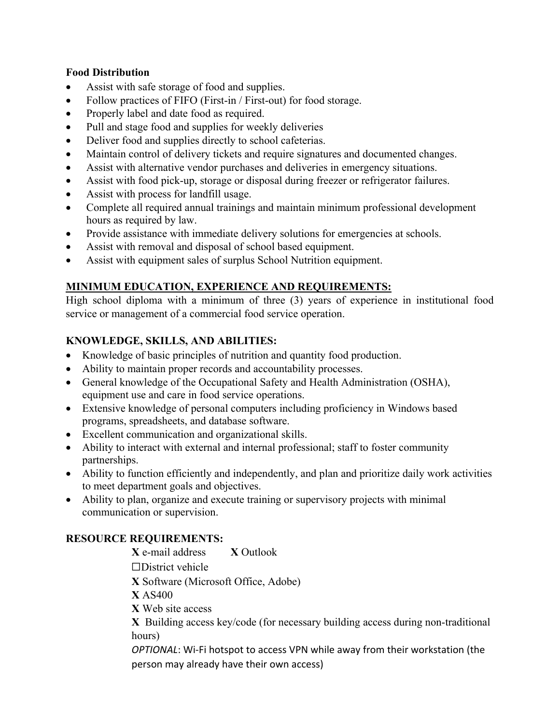#### **Food Distribution**

- Assist with safe storage of food and supplies.
- Follow practices of FIFO (First-in / First-out) for food storage.
- Properly label and date food as required.
- Pull and stage food and supplies for weekly deliveries
- Deliver food and supplies directly to school cafeterias.
- Maintain control of delivery tickets and require signatures and documented changes.
- Assist with alternative vendor purchases and deliveries in emergency situations.
- Assist with food pick-up, storage or disposal during freezer or refrigerator failures.
- Assist with process for landfill usage.
- Complete all required annual trainings and maintain minimum professional development hours as required by law.
- Provide assistance with immediate delivery solutions for emergencies at schools.
- Assist with removal and disposal of school based equipment.
- Assist with equipment sales of surplus School Nutrition equipment.

## **MINIMUM EDUCATION, EXPERIENCE AND REQUIREMENTS:**

High school diploma with a minimum of three (3) years of experience in institutional food service or management of a commercial food service operation.

#### **KNOWLEDGE, SKILLS, AND ABILITIES:**

- Knowledge of basic principles of nutrition and quantity food production.
- Ability to maintain proper records and accountability processes.
- General knowledge of the Occupational Safety and Health Administration (OSHA), equipment use and care in food service operations.
- Extensive knowledge of personal computers including proficiency in Windows based programs, spreadsheets, and database software.
- Excellent communication and organizational skills.
- Ability to interact with external and internal professional; staff to foster community partnerships.
- Ability to function efficiently and independently, and plan and prioritize daily work activities to meet department goals and objectives.
- Ability to plan, organize and execute training or supervisory projects with minimal communication or supervision.

# **RESOURCE REQUIREMENTS:**

**X** e-mail address **X** Outlook  $\Box$ District vehicle **X** Software (Microsoft Office, Adobe) **X** AS400 **X** Web site access **X** Building access key/code (for necessary building access during non-traditional hours) *OPTIONAL*: Wi-Fi hotspot to access VPN while away from their workstation (the person may already have their own access)